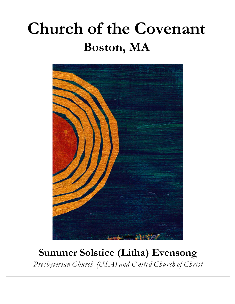# **Church of the Covenant Boston, MA**



## **Summer Solstice (Litha) Evensong**

*Presbyterian Church (USA) and United Church of Christ*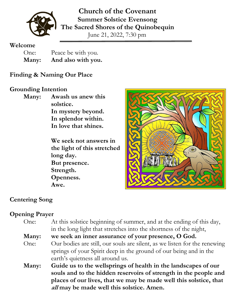

**Church of the Covenant Summer Solstice Evensong The Sacred Shores of the Quinobequin** June 21, 2022, 7:30 pm

### **Welcome**

One: Peace be with you. **Many: And also with you.**

### **Finding & Naming Our Place**

### **Grounding Intention**

**Many: Awash us anew this solstice. In mystery beyond. In splendor within. In love that shines.** 

> **We seek not answers in the light of this stretched long day. But presence. Strength. Openness. Awe.**



### **Centering Song**

### **Opening Prayer**

| One:  | At this solstice beginning of summer, and at the ending of this day,      |
|-------|---------------------------------------------------------------------------|
|       | in the long light that stretches into the shortness of the night,         |
| Many: | we seek an inner assurance of your presence, O God.                       |
| One:  | Our bodies are still, our souls are silent, as we listen for the renewing |
|       | springs of your Spirit deep in the ground of our being and in the         |
|       | earth's quietness all around us.                                          |
| Many: | Guide us to the wellsprings of health in the landscapes of our            |
|       | souls and to the hidden reservoirs of strength in the people and          |
|       | places of our lives, that we may be made well this solstice, that         |
|       | all may be made well this solstice. Amen.                                 |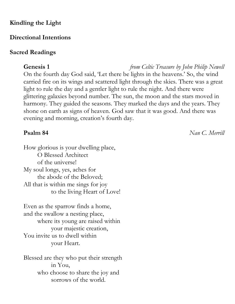### **Kindling the Light**

### **Directional Intentions**

### **Sacred Readings**

**Genesis 1** *from Celtic Treasure by John Philip Newell* On the fourth day God said, 'Let there be lights in the heavens.' So, the wind carried fire on its wings and scattered light through the skies. There was a great light to rule the day and a gentler light to rule the night. And there were glittering galaxies beyond number. The sun, the moon and the stars moved in harmony. They guided the seasons. They marked the days and the years. They shone on earth as signs of heaven. God saw that it was good. And there was evening and morning, creation's fourth day.

**Psalm 84** *Nan C. Merrill*

How glorious is your dwelling place, O Blessed Architect of the universe! My soul longs, yes, aches for the abode of the Beloved; All that is within me sings for joy to the living Heart of Love!

Even as the sparrow finds a home, and the swallow a nesting place, where its young are raised within your majestic creation, You invite us to dwell within your Heart.

Blessed are they who put their strength in You, who choose to share the joy and sorrows of the world.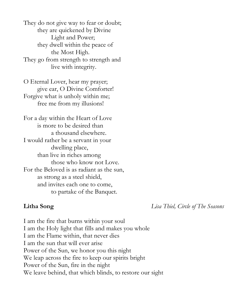They do not give way to fear or doubt; they are quickened by Divine Light and Power; they dwell within the peace of the Most High. They go from strength to strength and live with integrity.

O Eternal Lover, hear my prayer; give ear, O Divine Comforter! Forgive what is unholy within me; free me from my illusions!

For a day within the Heart of Love is more to be desired than a thousand elsewhere. I would rather be a servant in your dwelling place, than live in riches among those who know not Love. For the Beloved is as radiant as the sun, as strong as a steel shield, and invites each one to come, to partake of the Banquet.

**Litha Song** *Lisa Thiel, Circle of The Seasons*

I am the fire that burns within your soul I am the Holy light that fills and makes you whole I am the Flame within, that never dies I am the sun that will ever arise Power of the Sun, we honor you this night We leap across the fire to keep our spirits bright Power of the Sun, fire in the night We leave behind, that which blinds, to restore our sight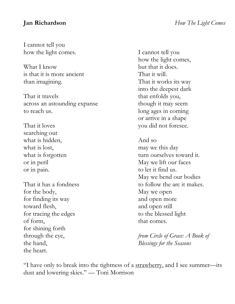I cannot tell you how the light comes.

What I know is that it is more ancient than imagining.

That it travels across an astounding expanse to reach us.

That it loves searching out what is hidden, what is lost, what is forgotten or in peril or in pain.

That it has a fondness for the body, for finding its way toward flesh, for tracing the edges of form, for shining forth through the eye, the hand, the heart.

I cannot tell you how the light comes, but that it does. That it will. That it works its way into the deepest dark that enfolds you, though it may seem long ages in coming or arrive in a shape you did not foresee.

And so may we this day turn ourselves toward it. May we lift our faces to let it find us. May we bend our bodies to follow the arc it makes. May we open and open more and open still to the blessed light that comes.

*from Circle of Grace: A Book of Blessings for the Seasons*

"I have only to break into the tightness of a [strawberry,](https://parade.com/1024844/kristamarshall/best-strawberry-recipes/) and I see summer—its dust and lowering skies." — Toni Morrison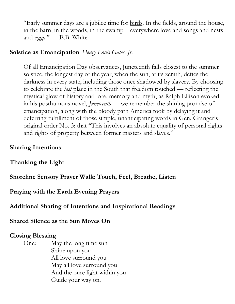"Early summer days are a jubilee time for [birds.](https://parade.com/1056227/marynliles/best-bird-names/) In the fields, around the house, in the barn, in the woods, in the swamp—everywhere love and songs and nests and eggs." — E.B. White

### **Solstice as Emancipation** *Henry Louis Gates, Jr.*

Of all Emancipation Day observances, Juneteenth falls closest to the summer solstice, the longest day of the year, when the sun, at its zenith, defies the darkness in every state, including those once shadowed by slavery. By choosing to celebrate the *last* place in the South that freedom touched — reflecting the mystical glow of history and lore, memory and myth, as Ralph Ellison evoked in his posthumous novel, *Juneteenth* — we remember the shining promise of emancipation, along with the bloody path America took by delaying it and deferring fulfillment of those simple, unanticipating words in Gen. Granger's original order No. 3: that "This involves an absolute equality of personal rights and rights of property between former masters and slaves."

### **Sharing Intentions**

### **Thanking the Light**

**Shoreline Sensory Prayer Walk: Touch, Feel, Breathe, Listen**

**Praying with the Earth Evening Prayers**

**Additional Sharing of Intentions and Inspirational Readings**

**Shared Silence as the Sun Moves On**

### **Closing Blessing**

One: May the long time sun Shine upon you All love surround you May all love surround you And the pure light within you Guide your way on.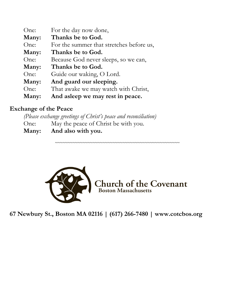| One:  | For the day now done,                    |
|-------|------------------------------------------|
| Many: | Thanks be to God.                        |
| One:  | For the summer that stretches before us, |
| Many: | Thanks be to God.                        |
| One:  | Because God never sleeps, so we can,     |
| Many: | Thanks be to God.                        |
| One:  | Guide our waking, O Lord.                |
| Many: | And guard our sleeping.                  |
| One:  | That awake we may watch with Christ,     |
| Many: | And asleep we may rest in peace.         |

### **Exchange of the Peace**

*(Please exchange greetings of Christ's peace and reconciliation)* One: May the peace of Christ be with you. **Many: And also with you.**



~~~~~~~~~~~~~~~~~~~~~~~~~~~~~~~~~~~~~~~~~~~~~~~~~~

**67 Newbury St., Boston MA 02116 | (617) 266-7480 | www.cotcbos.org**